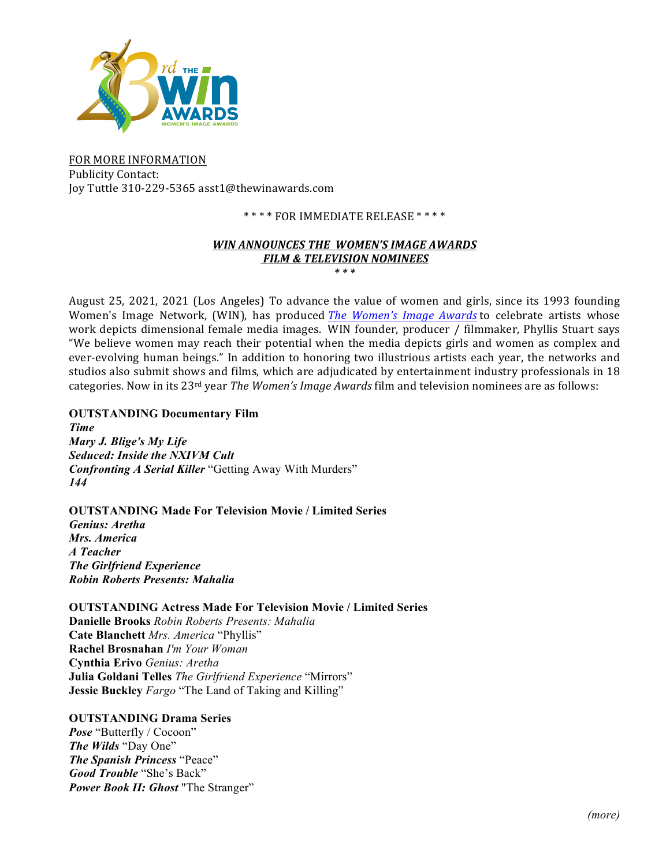

FOR MORE INFORMATION Publicity Contact: Joy Tuttle 310-229-5365 asst1@thewinawards.com

## \*\*\*\* FOR IMMEDIATE RELEASE \*\*\*\*

#### *WIN ANNOUNCES THE WOMEN'S IMAGE AWARDS* **FILM & TELEVISION NOMINEES** *\* \* \**

August 25, 2021, 2021 (Los Angeles) To advance the value of women and girls, since its 1993 founding Women's Image Network, (WIN), has produced *The Women's Image Awards* to celebrate artists whose work depicts dimensional female media images. WIN founder, producer / filmmaker, Phyllis Stuart says "We believe women may reach their potential when the media depicts girls and women as complex and ever-evolving human beings." In addition to honoring two illustrious artists each year, the networks and studios also submit shows and films, which are adjudicated by entertainment industry professionals in 18 categories. Now in its 23<sup>rd</sup> year *The Women's Image Awards* film and television nominees are as follows:

**OUTSTANDING Documentary Film** *Time Mary J. Blige's My Life Seduced: Inside the NXIVM Cult Confronting A Serial Killer* "Getting Away With Murders" *144* 

**OUTSTANDING Made For Television Movie / Limited Series** *Genius: Aretha Mrs. America A Teacher The Girlfriend Experience Robin Roberts Presents: Mahalia*

**OUTSTANDING Actress Made For Television Movie / Limited Series Danielle Brooks** *Robin Roberts Presents: Mahalia* **Cate Blanchett** *Mrs. America* "Phyllis" **Rachel Brosnahan** *I'm Your Woman*  **Cynthia Erivo** *Genius: Aretha* **Julia Goldani Telles** *The Girlfriend Experience* "Mirrors" **Jessie Buckley** *Fargo* "The Land of Taking and Killing"

**OUTSTANDING Drama Series** 

*Pose* "Butterfly / Cocoon" *The Wilds* "Day One" *The Spanish Princess* "Peace" *Good Trouble* "She's Back" *Power Book II: Ghost* "The Stranger"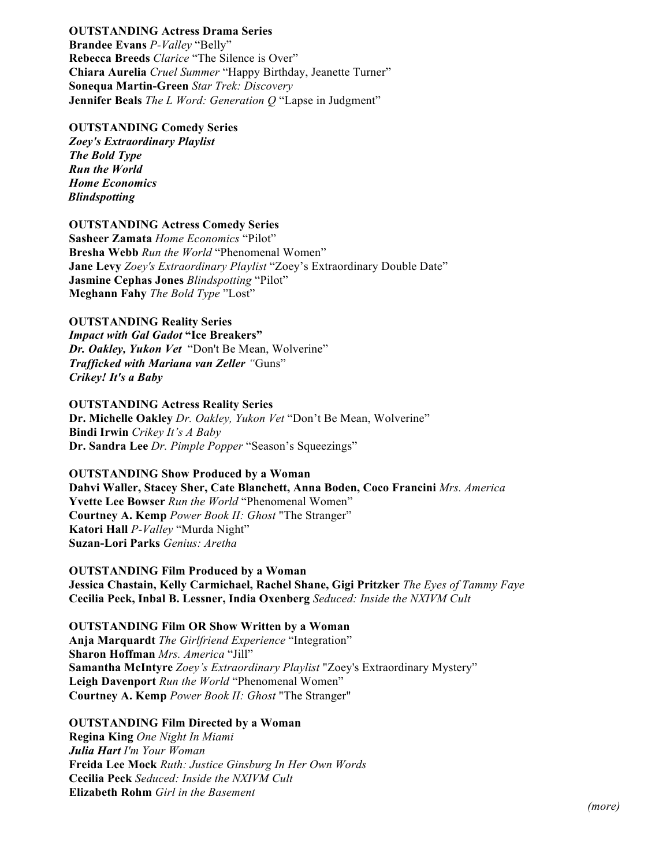# **OUTSTANDING Actress Drama Series**

**Brandee Evans** *P-Valley* "Belly" **Rebecca Breeds** *Clarice* "The Silence is Over" **Chiara Aurelia** *Cruel Summer* "Happy Birthday, Jeanette Turner" **Sonequa Martin-Green** *Star Trek: Discovery* **Jennifer Beals** *The L Word: Generation Q* "Lapse in Judgment"

#### **OUTSTANDING Comedy Series**

*Zoey's Extraordinary Playlist The Bold Type Run the World Home Economics Blindspotting* 

#### **OUTSTANDING Actress Comedy Series**

**Sasheer Zamata** *Home Economics* "Pilot" **Bresha Webb** *Run the World* "Phenomenal Women" **Jane Levy** *Zoey's Extraordinary Playlist* "Zoey's Extraordinary Double Date" **Jasmine Cephas Jones** *Blindspotting* "Pilot" **Meghann Fahy** *The Bold Type* "Lost"

### **OUTSTANDING Reality Series**

*Impact with Gal Gadot* **"Ice Breakers"**  *Dr. Oakley, Yukon Vet* "Don't Be Mean, Wolverine" *Trafficked with Mariana van Zeller "*Guns" *Crikey! It's a Baby*

#### **OUTSTANDING Actress Reality Series**

**Dr. Michelle Oakley** *Dr. Oakley, Yukon Vet* "Don't Be Mean, Wolverine" **Bindi Irwin** *Crikey It's A Baby*  **Dr. Sandra Lee** *Dr. Pimple Popper* "Season's Squeezings"

### **OUTSTANDING Show Produced by a Woman**

**Dahvi Waller, Stacey Sher, Cate Blanchett, Anna Boden, Coco Francini** *Mrs. America* **Yvette Lee Bowser** *Run the World* "Phenomenal Women" **Courtney A. Kemp** *Power Book II: Ghost* "The Stranger" **Katori Hall** *P-Valley* "Murda Night" **Suzan-Lori Parks** *Genius: Aretha*

#### **OUTSTANDING Film Produced by a Woman Jessica Chastain, Kelly Carmichael, Rachel Shane, Gigi Pritzker** *The Eyes of Tammy Faye*  **Cecilia Peck, Inbal B. Lessner, India Oxenberg** *Seduced: Inside the NXIVM Cult*

### **OUTSTANDING Film OR Show Written by a Woman Anja Marquardt** *The Girlfriend Experience* "Integration" **Sharon Hoffman** *Mrs. America* "Jill" **Samantha McIntyre** *Zoey's Extraordinary Playlist* "Zoey's Extraordinary Mystery" **Leigh Davenport** *Run the World* "Phenomenal Women" **Courtney A. Kemp** *Power Book II: Ghost* "The Stranger"

### **OUTSTANDING Film Directed by a Woman**

**Regina King** *One Night In Miami Julia Hart I'm Your Woman*  **Freida Lee Mock** *Ruth: Justice Ginsburg In Her Own Words*  **Cecilia Peck** *Seduced: Inside the NXIVM Cult* **Elizabeth Rohm** *Girl in the Basement*